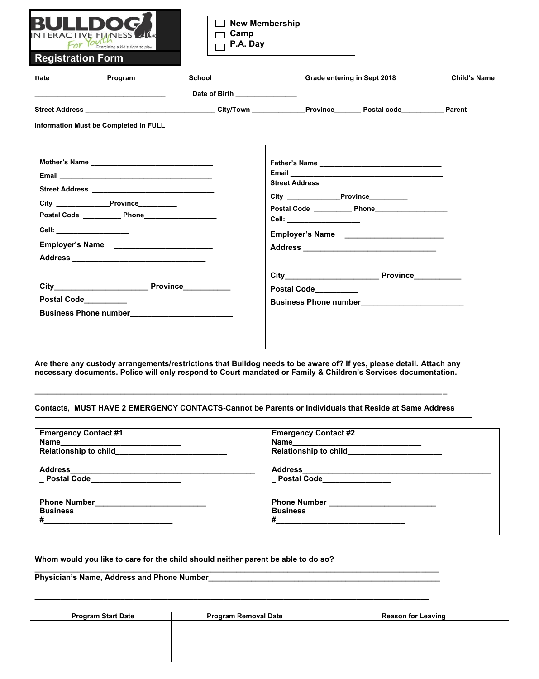| <b>Registration Form</b>                                                                                                                                                                                                                               |                               |                               |                           |  |
|--------------------------------------------------------------------------------------------------------------------------------------------------------------------------------------------------------------------------------------------------------|-------------------------------|-------------------------------|---------------------------|--|
|                                                                                                                                                                                                                                                        |                               |                               |                           |  |
|                                                                                                                                                                                                                                                        | Date of Birth _______________ |                               |                           |  |
|                                                                                                                                                                                                                                                        |                               |                               |                           |  |
| Information Must be Completed in FULL                                                                                                                                                                                                                  |                               |                               |                           |  |
|                                                                                                                                                                                                                                                        |                               |                               |                           |  |
|                                                                                                                                                                                                                                                        |                               |                               |                           |  |
|                                                                                                                                                                                                                                                        |                               |                               |                           |  |
| City Province                                                                                                                                                                                                                                          |                               |                               |                           |  |
| Postal Code ______________ Phone_______________________                                                                                                                                                                                                |                               |                               |                           |  |
| Cell: ___________________                                                                                                                                                                                                                              |                               | Cell: ___________________     |                           |  |
|                                                                                                                                                                                                                                                        |                               | Employer's Name<br><u> </u>   |                           |  |
| Employer's Name ________________________                                                                                                                                                                                                               |                               |                               |                           |  |
|                                                                                                                                                                                                                                                        |                               |                               |                           |  |
|                                                                                                                                                                                                                                                        |                               |                               |                           |  |
|                                                                                                                                                                                                                                                        |                               | Postal Code__________         |                           |  |
| Postal Code_________                                                                                                                                                                                                                                   |                               |                               |                           |  |
|                                                                                                                                                                                                                                                        |                               |                               |                           |  |
|                                                                                                                                                                                                                                                        |                               |                               |                           |  |
|                                                                                                                                                                                                                                                        |                               |                               |                           |  |
| Are there any custody arrangements/restrictions that Bulldog needs to be aware of? If yes, please detail. Attach any                                                                                                                                   |                               |                               |                           |  |
|                                                                                                                                                                                                                                                        |                               |                               |                           |  |
|                                                                                                                                                                                                                                                        |                               |                               |                           |  |
|                                                                                                                                                                                                                                                        |                               | <b>Emergency Contact #2</b>   |                           |  |
|                                                                                                                                                                                                                                                        |                               |                               |                           |  |
|                                                                                                                                                                                                                                                        |                               |                               |                           |  |
| necessary documents. Police will only respond to Court mandated or Family & Children's Services documentation.<br>Contacts, MUST HAVE 2 EMERGENCY CONTACTS-Cannot be Parents or Individuals that Reside at Same Address<br><b>Emergency Contact #1</b> |                               | _ Postal Code________________ |                           |  |
|                                                                                                                                                                                                                                                        |                               |                               |                           |  |
|                                                                                                                                                                                                                                                        |                               |                               |                           |  |
| <b>Business</b>                                                                                                                                                                                                                                        |                               | <b>Business</b>               |                           |  |
|                                                                                                                                                                                                                                                        |                               |                               |                           |  |
|                                                                                                                                                                                                                                                        |                               |                               |                           |  |
|                                                                                                                                                                                                                                                        |                               |                               |                           |  |
|                                                                                                                                                                                                                                                        |                               |                               |                           |  |
|                                                                                                                                                                                                                                                        |                               |                               |                           |  |
| Whom would you like to care for the child should neither parent be able to do so?<br><b>Program Start Date</b>                                                                                                                                         | <b>Program Removal Date</b>   |                               | <b>Reason for Leaving</b> |  |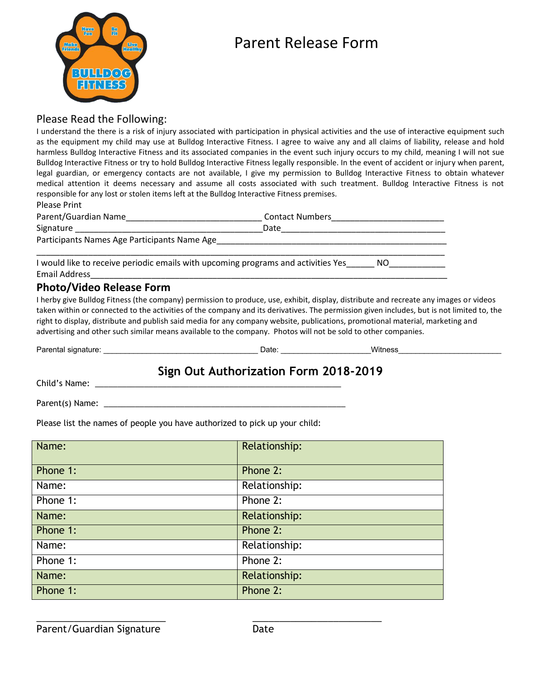

# Parent Release Form

#### Please Read the Following:

I understand the there is a risk of injury associated with participation in physical activities and the use of interactive equipment such as the equipment my child may use at Bulldog Interactive Fitness. I agree to waive any and all claims of liability, release and hold harmless Bulldog Interactive Fitness and its associated companies in the event such injury occurs to my child, meaning I will not sue Bulldog Interactive Fitness or try to hold Bulldog Interactive Fitness legally responsible. In the event of accident or injury when parent, legal guardian, or emergency contacts are not available, I give my permission to Bulldog Interactive Fitness to obtain whatever medical attention it deems necessary and assume all costs associated with such treatment. Bulldog Interactive Fitness is not responsible for any lost or stolen items left at the Bulldog Interactive Fitness premises.

Please Print

| Parent/Guardian Name                                                              | <b>Contact Numbers</b> |  |  |  |  |  |
|-----------------------------------------------------------------------------------|------------------------|--|--|--|--|--|
| Signature                                                                         | Date                   |  |  |  |  |  |
| Participants Names Age Participants Name Age                                      |                        |  |  |  |  |  |
| I would like to receive periodic emails with upcoming programs and activities Yes | NO.                    |  |  |  |  |  |

Email Address\_\_\_\_\_\_\_\_\_\_\_\_\_\_\_\_\_\_\_\_\_\_\_\_\_\_\_\_\_\_\_\_\_\_\_\_\_\_\_\_\_\_\_\_\_\_\_\_\_\_\_\_\_\_\_\_\_\_\_\_\_\_\_\_\_\_\_\_\_\_\_\_\_\_\_\_

### **Photo/Video Release Form**

I herby give Bulldog Fitness (the company) permission to produce, use, exhibit, display, distribute and recreate any images or videos taken within or connected to the activities of the company and its derivatives. The permission given includes, but is not limited to, the right to display, distribute and publish said media for any company website, publications, promotional material, marketing and advertising and other such similar means available to the company. Photos will not be sold to other companies.

Parental signature: \_\_\_\_\_\_\_\_\_\_\_\_\_\_\_\_\_\_\_\_\_\_\_\_\_\_\_\_\_\_\_\_\_\_\_\_ Date: \_\_\_\_\_\_\_\_\_\_\_\_\_\_\_\_\_\_\_\_\_Witness\_\_\_\_\_\_\_\_\_\_\_\_\_\_\_\_\_\_\_\_\_\_\_\_

## **Sign Out Authorization Form 2018-2019**

Child's Name: \_\_\_\_\_\_\_\_\_\_\_\_\_\_\_\_\_\_\_\_\_\_\_\_\_\_\_\_\_\_\_\_\_\_\_\_\_\_\_\_\_\_\_\_\_\_\_\_\_\_\_\_\_\_\_

Parent(s) Name: \_\_\_\_\_\_\_\_\_\_\_\_\_\_\_\_\_\_\_\_\_\_\_\_\_\_\_\_\_\_\_\_\_\_\_\_\_\_\_\_\_\_\_\_\_\_\_\_\_\_\_\_\_\_

Please list the names of people you have authorized to pick up your child:

| Name:    | Relationship: |
|----------|---------------|
| Phone 1: | Phone 2:      |
| Name:    | Relationship: |
| Phone 1: | Phone 2:      |
| Name:    | Relationship: |
| Phone 1: | Phone 2:      |
| Name:    | Relationship: |
| Phone 1: | Phone 2:      |
| Name:    | Relationship: |
| Phone 1: | Phone 2:      |